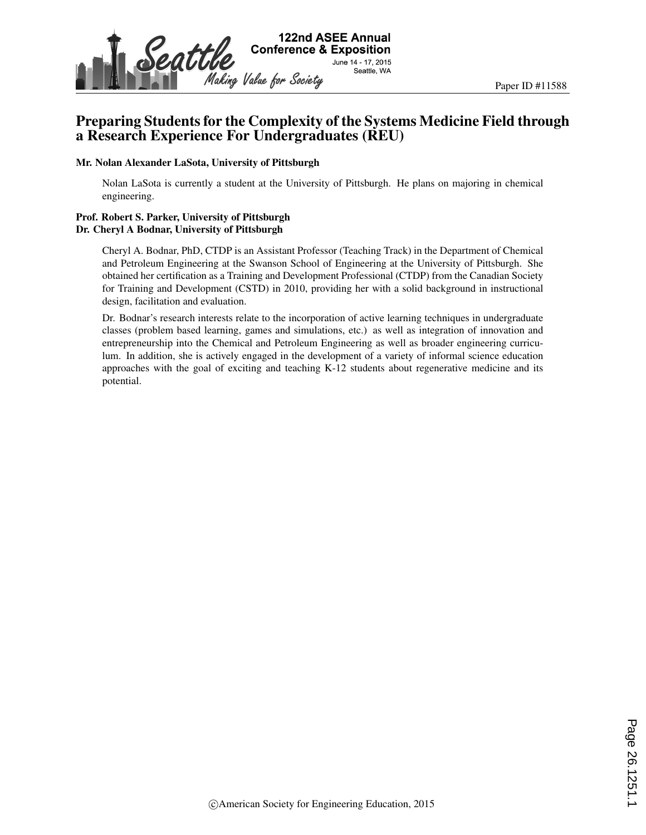

# Preparing Students for the Complexity of the Systems Medicine Field through a Research Experience For Undergraduates (REU)

#### Mr. Nolan Alexander LaSota, University of Pittsburgh

Nolan LaSota is currently a student at the University of Pittsburgh. He plans on majoring in chemical engineering.

#### Prof. Robert S. Parker, University of Pittsburgh Dr. Cheryl A Bodnar, University of Pittsburgh

Cheryl A. Bodnar, PhD, CTDP is an Assistant Professor (Teaching Track) in the Department of Chemical and Petroleum Engineering at the Swanson School of Engineering at the University of Pittsburgh. She obtained her certification as a Training and Development Professional (CTDP) from the Canadian Society for Training and Development (CSTD) in 2010, providing her with a solid background in instructional design, facilitation and evaluation.

Dr. Bodnar's research interests relate to the incorporation of active learning techniques in undergraduate classes (problem based learning, games and simulations, etc.) as well as integration of innovation and entrepreneurship into the Chemical and Petroleum Engineering as well as broader engineering curriculum. In addition, she is actively engaged in the development of a variety of informal science education approaches with the goal of exciting and teaching K-12 students about regenerative medicine and its potential.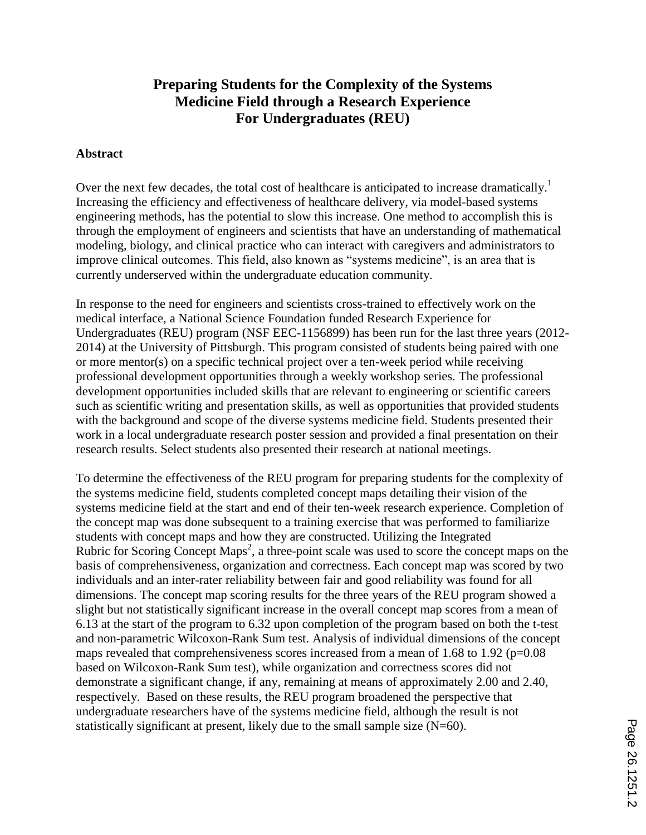# **Preparing Students for the Complexity of the Systems Medicine Field through a Research Experience For Undergraduates (REU)**

#### **Abstract**

Over the next few decades, the total cost of healthcare is anticipated to increase dramatically.<sup>1</sup> Increasing the efficiency and effectiveness of healthcare delivery, via model-based systems engineering methods, has the potential to slow this increase. One method to accomplish this is through the employment of engineers and scientists that have an understanding of mathematical modeling, biology, and clinical practice who can interact with caregivers and administrators to improve clinical outcomes. This field, also known as "systems medicine", is an area that is currently underserved within the undergraduate education community.

In response to the need for engineers and scientists cross-trained to effectively work on the medical interface, a National Science Foundation funded Research Experience for Undergraduates (REU) program (NSF EEC-1156899) has been run for the last three years (2012- 2014) at the University of Pittsburgh. This program consisted of students being paired with one or more mentor(s) on a specific technical project over a ten-week period while receiving professional development opportunities through a weekly workshop series. The professional development opportunities included skills that are relevant to engineering or scientific careers such as scientific writing and presentation skills, as well as opportunities that provided students with the background and scope of the diverse systems medicine field. Students presented their work in a local undergraduate research poster session and provided a final presentation on their research results. Select students also presented their research at national meetings.

To determine the effectiveness of the REU program for preparing students for the complexity of the systems medicine field, students completed concept maps detailing their vision of the systems medicine field at the start and end of their ten-week research experience. Completion of the concept map was done subsequent to a training exercise that was performed to familiarize students with concept maps and how they are constructed. Utilizing the Integrated Rubric for Scoring Concept Maps<sup>2</sup>, a three-point scale was used to score the concept maps on the basis of comprehensiveness, organization and correctness. Each concept map was scored by two individuals and an inter-rater reliability between fair and good reliability was found for all dimensions. The concept map scoring results for the three years of the REU program showed a slight but not statistically significant increase in the overall concept map scores from a mean of 6.13 at the start of the program to 6.32 upon completion of the program based on both the t-test and non-parametric Wilcoxon-Rank Sum test. Analysis of individual dimensions of the concept maps revealed that comprehensiveness scores increased from a mean of  $1.68$  to  $1.92$  (p=0.08) based on Wilcoxon-Rank Sum test), while organization and correctness scores did not demonstrate a significant change, if any, remaining at means of approximately 2.00 and 2.40, respectively. Based on these results, the REU program broadened the perspective that undergraduate researchers have of the systems medicine field, although the result is not statistically significant at present, likely due to the small sample size (N=60).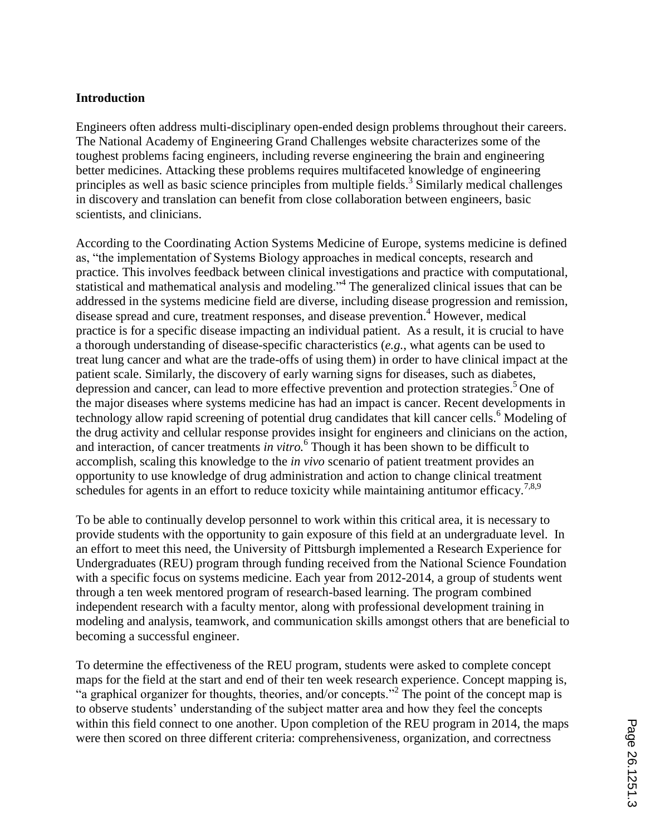#### **Introduction**

Engineers often address multi-disciplinary open-ended design problems throughout their careers. The National Academy of Engineering Grand Challenges website characterizes some of the toughest problems facing engineers, including reverse engineering the brain and engineering better medicines. Attacking these problems requires multifaceted knowledge of engineering principles as well as basic science principles from multiple fields.<sup>3</sup> Similarly medical challenges in discovery and translation can benefit from close collaboration between engineers, basic scientists, and clinicians.

According to the Coordinating Action Systems Medicine of Europe, systems medicine is defined as, "the implementation of Systems Biology approaches in medical concepts, research and practice. This involves feedback between clinical investigations and practice with computational, statistical and mathematical analysis and modeling."<sup>4</sup> The generalized clinical issues that can be addressed in the systems medicine field are diverse, including disease progression and remission, disease spread and cure, treatment responses, and disease prevention.<sup>4</sup> However, medical practice is for a specific disease impacting an individual patient. As a result, it is crucial to have a thorough understanding of disease-specific characteristics (*e.g.*, what agents can be used to treat lung cancer and what are the trade-offs of using them) in order to have clinical impact at the patient scale. Similarly, the discovery of early warning signs for diseases, such as diabetes, depression and cancer, can lead to more effective prevention and protection strategies.<sup>5</sup> One of the major diseases where systems medicine has had an impact is cancer. Recent developments in technology allow rapid screening of potential drug candidates that kill cancer cells. <sup>6</sup> Modeling of the drug activity and cellular response provides insight for engineers and clinicians on the action, and interaction, of cancer treatments *in vitro.*<sup>6</sup> Though it has been shown to be difficult to accomplish, scaling this knowledge to the *in vivo* scenario of patient treatment provides an opportunity to use knowledge of drug administration and action to change clinical treatment schedules for agents in an effort to reduce toxicity while maintaining antitumor efficacy.<sup>7,8,9</sup>

To be able to continually develop personnel to work within this critical area, it is necessary to provide students with the opportunity to gain exposure of this field at an undergraduate level. In an effort to meet this need, the University of Pittsburgh implemented a Research Experience for Undergraduates (REU) program through funding received from the National Science Foundation with a specific focus on systems medicine. Each year from 2012-2014, a group of students went through a ten week mentored program of research-based learning. The program combined independent research with a faculty mentor, along with professional development training in modeling and analysis, teamwork, and communication skills amongst others that are beneficial to becoming a successful engineer.

To determine the effectiveness of the REU program, students were asked to complete concept maps for the field at the start and end of their ten week research experience. Concept mapping is, "a graphical organizer for thoughts, theories, and/or concepts."<sup>2</sup> The point of the concept map is to observe students' understanding of the subject matter area and how they feel the concepts within this field connect to one another. Upon completion of the REU program in 2014, the maps were then scored on three different criteria: comprehensiveness, organization, and correctness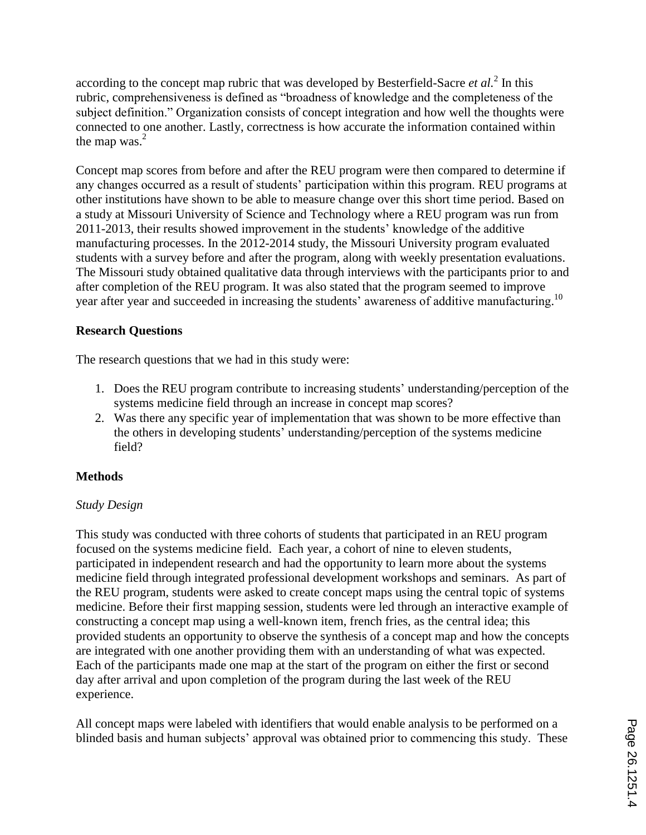according to the concept map rubric that was developed by Besterfield-Sacre *et al.*<sup>2</sup> In this rubric, comprehensiveness is defined as "broadness of knowledge and the completeness of the subject definition." Organization consists of concept integration and how well the thoughts were connected to one another. Lastly, correctness is how accurate the information contained within the map was. $<sup>2</sup>$ </sup>

Concept map scores from before and after the REU program were then compared to determine if any changes occurred as a result of students' participation within this program. REU programs at other institutions have shown to be able to measure change over this short time period. Based on a study at Missouri University of Science and Technology where a REU program was run from 2011-2013, their results showed improvement in the students' knowledge of the additive manufacturing processes. In the 2012-2014 study, the Missouri University program evaluated students with a survey before and after the program, along with weekly presentation evaluations. The Missouri study obtained qualitative data through interviews with the participants prior to and after completion of the REU program. It was also stated that the program seemed to improve year after year and succeeded in increasing the students' awareness of additive manufacturing.<sup>10</sup>

## **Research Questions**

The research questions that we had in this study were:

- 1. Does the REU program contribute to increasing students' understanding/perception of the systems medicine field through an increase in concept map scores?
- 2. Was there any specific year of implementation that was shown to be more effective than the others in developing students' understanding/perception of the systems medicine field?

# **Methods**

### *Study Design*

This study was conducted with three cohorts of students that participated in an REU program focused on the systems medicine field. Each year, a cohort of nine to eleven students, participated in independent research and had the opportunity to learn more about the systems medicine field through integrated professional development workshops and seminars. As part of the REU program, students were asked to create concept maps using the central topic of systems medicine. Before their first mapping session, students were led through an interactive example of constructing a concept map using a well-known item, french fries, as the central idea; this provided students an opportunity to observe the synthesis of a concept map and how the concepts are integrated with one another providing them with an understanding of what was expected. Each of the participants made one map at the start of the program on either the first or second day after arrival and upon completion of the program during the last week of the REU experience.

All concept maps were labeled with identifiers that would enable analysis to be performed on a blinded basis and human subjects' approval was obtained prior to commencing this study. These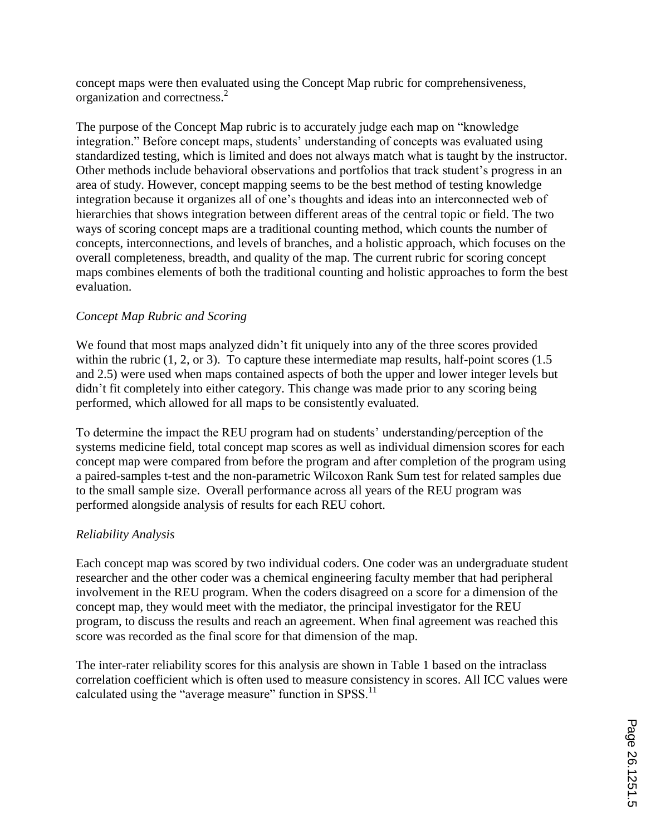concept maps were then evaluated using the Concept Map rubric for comprehensiveness, organization and correctness.<sup>2</sup>

The purpose of the Concept Map rubric is to accurately judge each map on "knowledge integration." Before concept maps, students' understanding of concepts was evaluated using standardized testing, which is limited and does not always match what is taught by the instructor. Other methods include behavioral observations and portfolios that track student's progress in an area of study. However, concept mapping seems to be the best method of testing knowledge integration because it organizes all of one's thoughts and ideas into an interconnected web of hierarchies that shows integration between different areas of the central topic or field. The two ways of scoring concept maps are a traditional counting method, which counts the number of concepts, interconnections, and levels of branches, and a holistic approach, which focuses on the overall completeness, breadth, and quality of the map. The current rubric for scoring concept maps combines elements of both the traditional counting and holistic approaches to form the best evaluation.

### *Concept Map Rubric and Scoring*

We found that most maps analyzed didn't fit uniquely into any of the three scores provided within the rubric  $(1, 2, \text{or } 3)$ . To capture these intermediate map results, half-point scores  $(1.5)$ and 2.5) were used when maps contained aspects of both the upper and lower integer levels but didn't fit completely into either category. This change was made prior to any scoring being performed, which allowed for all maps to be consistently evaluated.

To determine the impact the REU program had on students' understanding/perception of the systems medicine field, total concept map scores as well as individual dimension scores for each concept map were compared from before the program and after completion of the program using a paired-samples t-test and the non-parametric Wilcoxon Rank Sum test for related samples due to the small sample size. Overall performance across all years of the REU program was performed alongside analysis of results for each REU cohort.

### *Reliability Analysis*

Each concept map was scored by two individual coders. One coder was an undergraduate student researcher and the other coder was a chemical engineering faculty member that had peripheral involvement in the REU program. When the coders disagreed on a score for a dimension of the concept map, they would meet with the mediator, the principal investigator for the REU program, to discuss the results and reach an agreement. When final agreement was reached this score was recorded as the final score for that dimension of the map.

The inter-rater reliability scores for this analysis are shown in Table 1 based on the intraclass correlation coefficient which is often used to measure consistency in scores. All ICC values were calculated using the "average measure" function in SPSS.<sup>11</sup>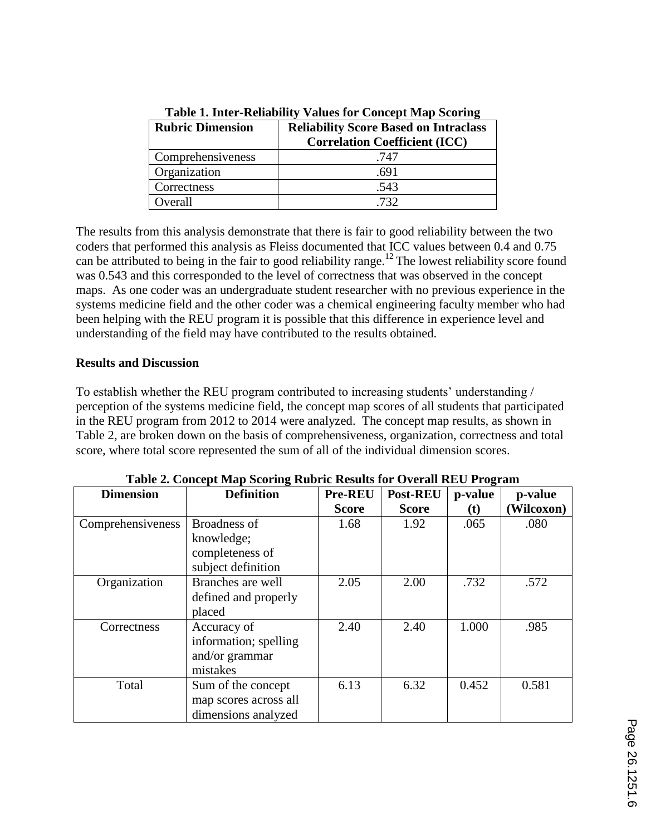| <b>Rubric Dimension</b> | <b>Reliability Score Based on Intraclass</b><br><b>Correlation Coefficient (ICC)</b> |
|-------------------------|--------------------------------------------------------------------------------------|
| Comprehensiveness       | .747                                                                                 |
| Organization            | .691                                                                                 |
| Correctness             | .543                                                                                 |
| Overall                 | 732                                                                                  |

**Table 1. Inter-Reliability Values for Concept Map Scoring**

The results from this analysis demonstrate that there is fair to good reliability between the two coders that performed this analysis as Fleiss documented that ICC values between 0.4 and 0.75 can be attributed to being in the fair to good reliability range.<sup>12</sup> The lowest reliability score found was 0.543 and this corresponded to the level of correctness that was observed in the concept maps. As one coder was an undergraduate student researcher with no previous experience in the systems medicine field and the other coder was a chemical engineering faculty member who had been helping with the REU program it is possible that this difference in experience level and understanding of the field may have contributed to the results obtained.

## **Results and Discussion**

To establish whether the REU program contributed to increasing students' understanding / perception of the systems medicine field, the concept map scores of all students that participated in the REU program from 2012 to 2014 were analyzed. The concept map results, as shown in Table 2, are broken down on the basis of comprehensiveness, organization, correctness and total score, where total score represented the sum of all of the individual dimension scores.

| <b>Dimension</b>  | <b>Definition</b>                                                   | Pre-REU      | <b>Post-REU</b> | p-value | p-value    |
|-------------------|---------------------------------------------------------------------|--------------|-----------------|---------|------------|
|                   |                                                                     | <b>Score</b> | <b>Score</b>    | (t)     | (Wilcoxon) |
| Comprehensiveness | Broadness of<br>knowledge;<br>completeness of<br>subject definition | 1.68         | 1.92            | .065    | .080       |
| Organization      | Branches are well<br>defined and properly<br>placed                 | 2.05         | 2.00            | .732    | .572       |
| Correctness       | Accuracy of<br>information; spelling<br>and/or grammar<br>mistakes  | 2.40         | 2.40            | 1.000   | .985       |
| Total             | Sum of the concept<br>map scores across all<br>dimensions analyzed  | 6.13         | 6.32            | 0.452   | 0.581      |

|  |  |  | Table 2. Concept Map Scoring Rubric Results for Overall REU Program |  |
|--|--|--|---------------------------------------------------------------------|--|
|  |  |  |                                                                     |  |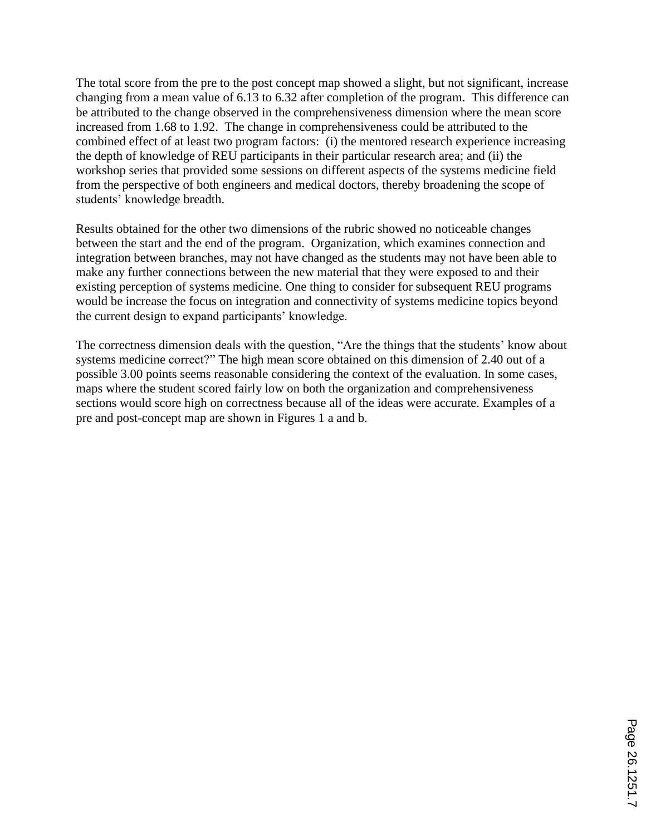The total score from the pre to the post concept map showed a slight, but not significant, increase changing from a mean value of 6.13 to 6.32 after completion of the program. This difference can be attributed to the change observed in the comprehensiveness dimension where the mean score increased from 1.68 to 1.92. The change in comprehensiveness could be attributed to the combined effect of at least two program factors: (i) the mentored research experience increasing the depth of knowledge of REU participants in their particular research area; and (ii) the workshop series that provided some sessions on different aspects of the systems medicine field from the perspective of both engineers and medical doctors, thereby broadening the scope of students' knowledge breadth.

Results obtained for the other two dimensions of the rubric showed no noticeable changes between the start and the end of the program. Organization, which examines connection and integration between branches, may not have changed as the students may not have been able to make any further connections between the new material that they were exposed to and their existing perception of systems medicine. One thing to consider for subsequent REU programs would be increase the focus on integration and connectivity of systems medicine topics beyond the current design to expand participants' knowledge.

The correctness dimension deals with the question, "Are the things that the students' know about systems medicine correct?" The high mean score obtained on this dimension of 2.40 out of a possible 3.00 points seems reasonable considering the context of the evaluation. In some cases, maps where the student scored fairly low on both the organization and comprehensiveness sections would score high on correctness because all of the ideas were accurate. Examples of a pre and post-concept map are shown in Figures 1 a and b.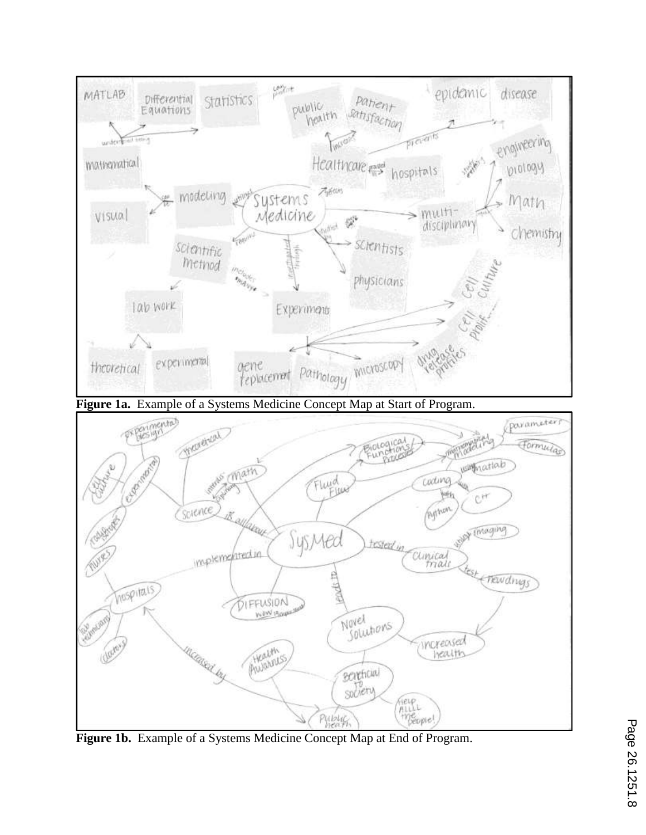

**Figure 1b.** Example of a Systems Medicine Concept Map at End of Program.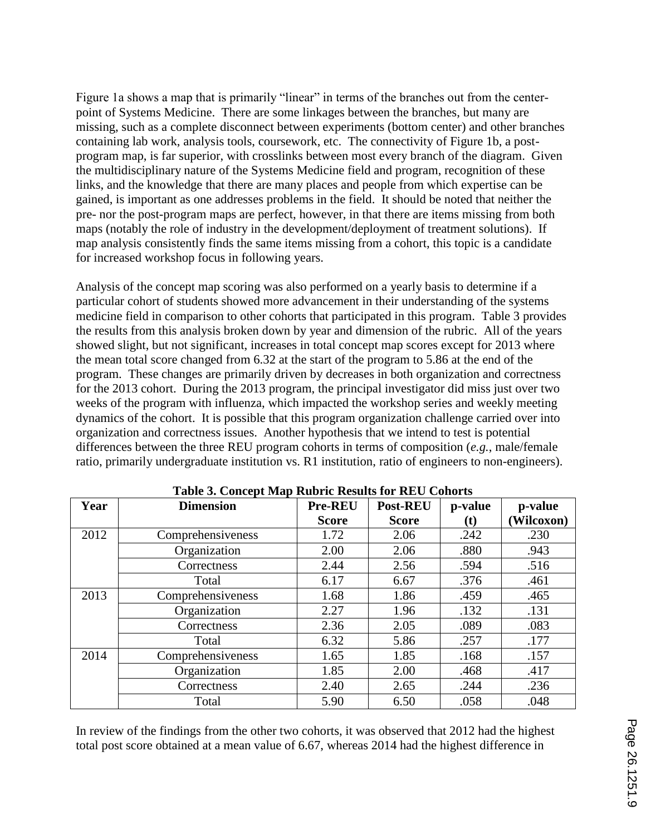Figure 1a shows a map that is primarily "linear" in terms of the branches out from the centerpoint of Systems Medicine. There are some linkages between the branches, but many are missing, such as a complete disconnect between experiments (bottom center) and other branches containing lab work, analysis tools, coursework, etc. The connectivity of Figure 1b, a postprogram map, is far superior, with crosslinks between most every branch of the diagram. Given the multidisciplinary nature of the Systems Medicine field and program, recognition of these links, and the knowledge that there are many places and people from which expertise can be gained, is important as one addresses problems in the field. It should be noted that neither the pre- nor the post-program maps are perfect, however, in that there are items missing from both maps (notably the role of industry in the development/deployment of treatment solutions). If map analysis consistently finds the same items missing from a cohort, this topic is a candidate for increased workshop focus in following years.

Analysis of the concept map scoring was also performed on a yearly basis to determine if a particular cohort of students showed more advancement in their understanding of the systems medicine field in comparison to other cohorts that participated in this program. Table 3 provides the results from this analysis broken down by year and dimension of the rubric. All of the years showed slight, but not significant, increases in total concept map scores except for 2013 where the mean total score changed from 6.32 at the start of the program to 5.86 at the end of the program. These changes are primarily driven by decreases in both organization and correctness for the 2013 cohort. During the 2013 program, the principal investigator did miss just over two weeks of the program with influenza, which impacted the workshop series and weekly meeting dynamics of the cohort. It is possible that this program organization challenge carried over into organization and correctness issues. Another hypothesis that we intend to test is potential differences between the three REU program cohorts in terms of composition (*e.g.*, male/female ratio, primarily undergraduate institution vs. R1 institution, ratio of engineers to non-engineers).

| Year | $\cdots$ of $\cdots$<br><b>Dimension</b> | <b>Pre-REU</b> | <b>Post-REU</b> | p-value                    | p-value    |
|------|------------------------------------------|----------------|-----------------|----------------------------|------------|
|      |                                          | <b>Score</b>   | <b>Score</b>    | $\left( \mathbf{t}\right)$ | (Wilcoxon) |
| 2012 | Comprehensiveness                        | 1.72           | 2.06            | .242                       | .230       |
|      | Organization                             | 2.00           | 2.06            | .880                       | .943       |
|      | Correctness                              | 2.44           | 2.56            | .594                       | .516       |
|      | Total                                    | 6.17           | 6.67            | .376                       | .461       |
| 2013 | Comprehensiveness                        | 1.68           | 1.86            | .459                       | .465       |
|      | Organization                             | 2.27           | 1.96            | .132                       | .131       |
|      | Correctness                              | 2.36           | 2.05            | .089                       | .083       |
|      | Total                                    | 6.32           | 5.86            | .257                       | .177       |
| 2014 | Comprehensiveness                        | 1.65           | 1.85            | .168                       | .157       |
|      | Organization                             | 1.85           | 2.00            | .468                       | .417       |
|      | Correctness                              | 2.40           | 2.65            | .244                       | .236       |
|      | Total                                    | 5.90           | 6.50            | .058                       | .048       |

**Table 3. Concept Map Rubric Results for REU Cohorts**

In review of the findings from the other two cohorts, it was observed that 2012 had the highest total post score obtained at a mean value of 6.67, whereas 2014 had the highest difference in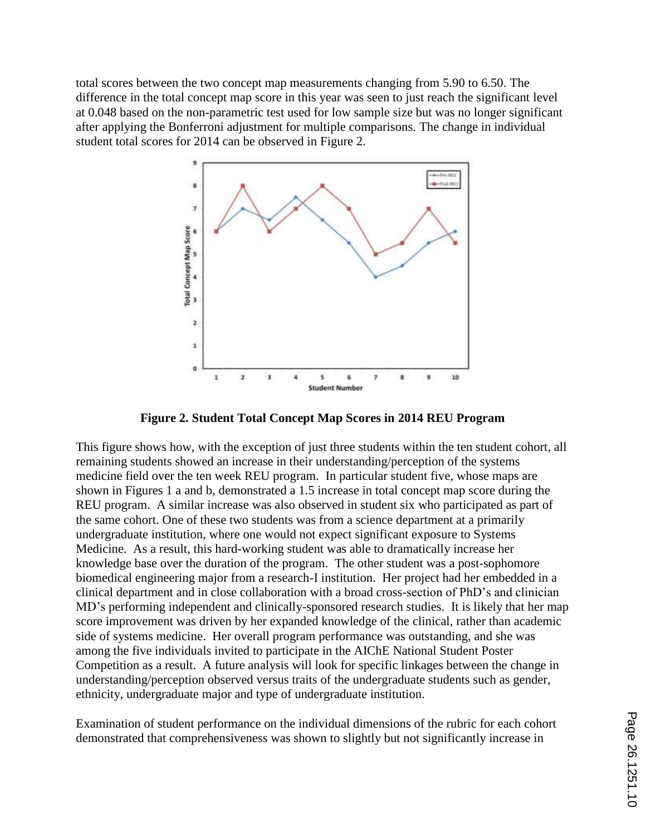total scores between the two concept map measurements changing from 5.90 to 6.50. The difference in the total concept map score in this year was seen to just reach the significant level at 0.048 based on the non-parametric test used for low sample size but was no longer significant after applying the Bonferroni adjustment for multiple comparisons. The change in individual student total scores for 2014 can be observed in Figure 2.



**Figure 2. Student Total Concept Map Scores in 2014 REU Program**

This figure shows how, with the exception of just three students within the ten student cohort, all remaining students showed an increase in their understanding/perception of the systems medicine field over the ten week REU program. In particular student five, whose maps are shown in Figures 1 a and b, demonstrated a 1.5 increase in total concept map score during the REU program. A similar increase was also observed in student six who participated as part of the same cohort. One of these two students was from a science department at a primarily undergraduate institution, where one would not expect significant exposure to Systems Medicine. As a result, this hard-working student was able to dramatically increase her knowledge base over the duration of the program. The other student was a post-sophomore biomedical engineering major from a research-I institution. Her project had her embedded in a clinical department and in close collaboration with a broad cross-section of PhD's and clinician MD's performing independent and clinically-sponsored research studies. It is likely that her map score improvement was driven by her expanded knowledge of the clinical, rather than academic side of systems medicine. Her overall program performance was outstanding, and she was among the five individuals invited to participate in the AIChE National Student Poster Competition as a result. A future analysis will look for specific linkages between the change in understanding/perception observed versus traits of the undergraduate students such as gender, ethnicity, undergraduate major and type of undergraduate institution.

Examination of student performance on the individual dimensions of the rubric for each cohort demonstrated that comprehensiveness was shown to slightly but not significantly increase in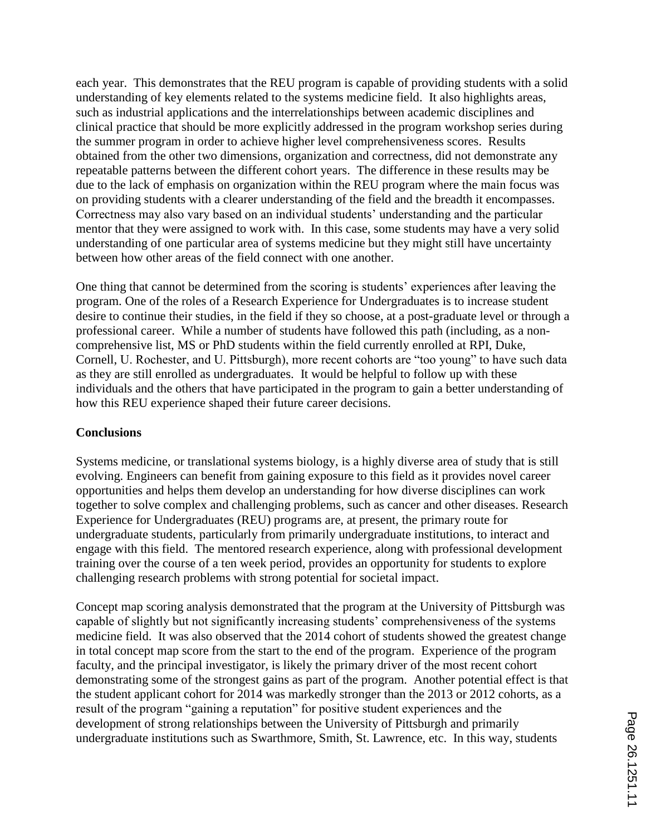each year. This demonstrates that the REU program is capable of providing students with a solid understanding of key elements related to the systems medicine field. It also highlights areas, such as industrial applications and the interrelationships between academic disciplines and clinical practice that should be more explicitly addressed in the program workshop series during the summer program in order to achieve higher level comprehensiveness scores. Results obtained from the other two dimensions, organization and correctness, did not demonstrate any repeatable patterns between the different cohort years. The difference in these results may be due to the lack of emphasis on organization within the REU program where the main focus was on providing students with a clearer understanding of the field and the breadth it encompasses. Correctness may also vary based on an individual students' understanding and the particular mentor that they were assigned to work with. In this case, some students may have a very solid understanding of one particular area of systems medicine but they might still have uncertainty between how other areas of the field connect with one another.

One thing that cannot be determined from the scoring is students' experiences after leaving the program. One of the roles of a Research Experience for Undergraduates is to increase student desire to continue their studies, in the field if they so choose, at a post-graduate level or through a professional career. While a number of students have followed this path (including, as a noncomprehensive list, MS or PhD students within the field currently enrolled at RPI, Duke, Cornell, U. Rochester, and U. Pittsburgh), more recent cohorts are "too young" to have such data as they are still enrolled as undergraduates. It would be helpful to follow up with these individuals and the others that have participated in the program to gain a better understanding of how this REU experience shaped their future career decisions.

#### **Conclusions**

Systems medicine, or translational systems biology, is a highly diverse area of study that is still evolving. Engineers can benefit from gaining exposure to this field as it provides novel career opportunities and helps them develop an understanding for how diverse disciplines can work together to solve complex and challenging problems, such as cancer and other diseases. Research Experience for Undergraduates (REU) programs are, at present, the primary route for undergraduate students, particularly from primarily undergraduate institutions, to interact and engage with this field. The mentored research experience, along with professional development training over the course of a ten week period, provides an opportunity for students to explore challenging research problems with strong potential for societal impact.

Concept map scoring analysis demonstrated that the program at the University of Pittsburgh was capable of slightly but not significantly increasing students' comprehensiveness of the systems medicine field. It was also observed that the 2014 cohort of students showed the greatest change in total concept map score from the start to the end of the program. Experience of the program faculty, and the principal investigator, is likely the primary driver of the most recent cohort demonstrating some of the strongest gains as part of the program. Another potential effect is that the student applicant cohort for 2014 was markedly stronger than the 2013 or 2012 cohorts, as a result of the program "gaining a reputation" for positive student experiences and the development of strong relationships between the University of Pittsburgh and primarily undergraduate institutions such as Swarthmore, Smith, St. Lawrence, etc. In this way, students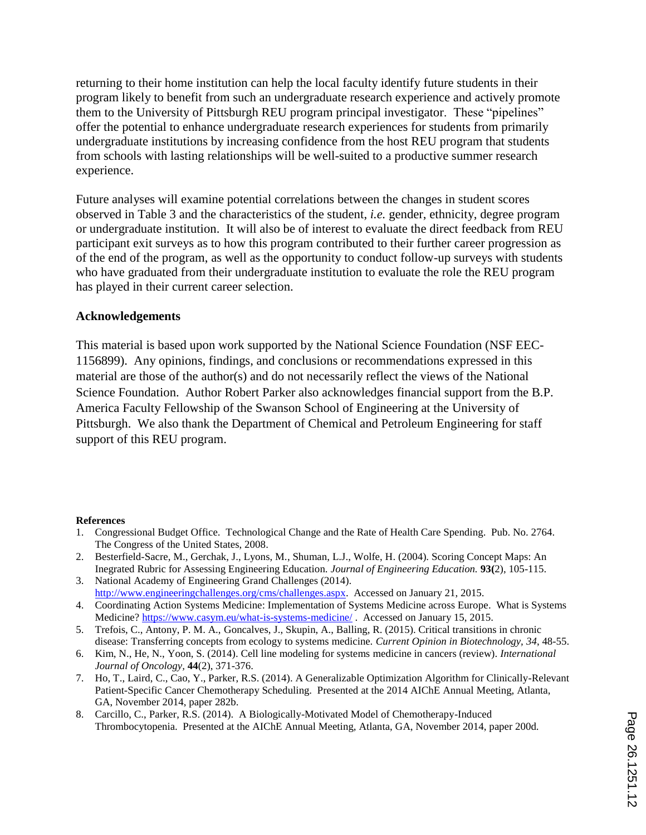returning to their home institution can help the local faculty identify future students in their program likely to benefit from such an undergraduate research experience and actively promote them to the University of Pittsburgh REU program principal investigator. These "pipelines" offer the potential to enhance undergraduate research experiences for students from primarily undergraduate institutions by increasing confidence from the host REU program that students from schools with lasting relationships will be well-suited to a productive summer research experience.

Future analyses will examine potential correlations between the changes in student scores observed in Table 3 and the characteristics of the student, *i.e.* gender, ethnicity, degree program or undergraduate institution. It will also be of interest to evaluate the direct feedback from REU participant exit surveys as to how this program contributed to their further career progression as of the end of the program, as well as the opportunity to conduct follow-up surveys with students who have graduated from their undergraduate institution to evaluate the role the REU program has played in their current career selection.

#### **Acknowledgements**

This material is based upon work supported by the National Science Foundation (NSF EEC-1156899). Any opinions, findings, and conclusions or recommendations expressed in this material are those of the author(s) and do not necessarily reflect the views of the National Science Foundation. Author Robert Parker also acknowledges financial support from the B.P. America Faculty Fellowship of the Swanson School of Engineering at the University of Pittsburgh. We also thank the Department of Chemical and Petroleum Engineering for staff support of this REU program.

#### **References**

- 1. Congressional Budget Office. Technological Change and the Rate of Health Care Spending. Pub. No. 2764. The Congress of the United States, 2008.
- 2. Besterfield-Sacre, M., Gerchak, J., Lyons, M., Shuman, L.J., Wolfe, H. (2004). Scoring Concept Maps: An Inegrated Rubric for Assessing Engineering Education. *Journal of Engineering Education.* **93(**2), 105-115.
- 3. National Academy of Engineering Grand Challenges (2014). http://www.engineeringchallenges.org/cms/challenges.aspx. Accessed on January 21, 2015.
- 4. Coordinating Action Systems Medicine: Implementation of Systems Medicine across Europe. What is Systems Medicine? https://www.casym.eu/what-is-systems-medicine/ . Accessed on January 15, 2015.
- 5. Trefois, C., Antony, P. M. A., Goncalves, J., Skupin, A., Balling, R. (2015). Critical transitions in chronic disease: Transferring concepts from ecology to systems medicine. *Current Opinion in Biotechnology, 34*, 48-55.
- 6. Kim, N., He, N., Yoon, S. (2014). Cell line modeling for systems medicine in cancers (review). *International Journal of Oncology,* **44**(2), 371-376.
- 7. Ho, T., Laird, C., Cao, Y., Parker, R.S. (2014). A Generalizable Optimization Algorithm for Clinically-Relevant Patient-Specific Cancer Chemotherapy Scheduling. Presented at the 2014 AIChE Annual Meeting, Atlanta, GA, November 2014, paper 282b.
- 8. Carcillo, C., Parker, R.S. (2014). A Biologically-Motivated Model of Chemotherapy-Induced Thrombocytopenia. Presented at the AIChE Annual Meeting, Atlanta, GA, November 2014, paper 200d.